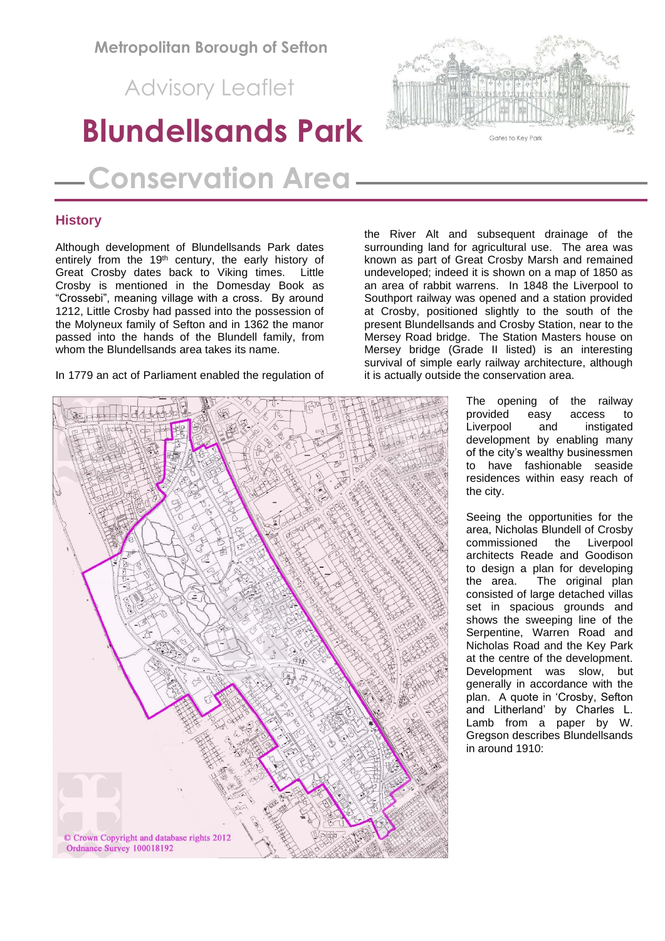**Metropolitan Borough of Sefton**

Advisory Leaflet

# **Blundellsands Park**

 **Conservation Area**

# **History**

Although development of Blundellsands Park dates entirely from the 19<sup>th</sup> century, the early history of Great Crosby dates back to Viking times. Little Crosby is mentioned in the Domesday Book as "Crossebi", meaning village with a cross. By around 1212, Little Crosby had passed into the possession of the Molyneux family of Sefton and in 1362 the manor passed into the hands of the Blundell family, from whom the Blundellsands area takes its name.

In 1779 an act of Parliament enabled the regulation of



the River Alt and subsequent drainage of the surrounding land for agricultural use. The area was known as part of Great Crosby Marsh and remained undeveloped; indeed it is shown on a map of 1850 as an area of rabbit warrens. In 1848 the Liverpool to Southport railway was opened and a station provided at Crosby, positioned slightly to the south of the present Blundellsands and Crosby Station, near to the Mersey Road bridge. The Station Masters house on Mersey bridge (Grade II listed) is an interesting survival of simple early railway architecture, although it is actually outside the conservation area.

> The opening of the railway provided easy access to Liverpool and instigated development by enabling many of the city's wealthy businessmen to have fashionable seaside residences within easy reach of the city.

> Seeing the opportunities for the area, Nicholas Blundell of Crosby commissioned the Liverpool architects Reade and Goodison to design a plan for developing the area. The original plan consisted of large detached villas set in spacious grounds and shows the sweeping line of the Serpentine, Warren Road and Nicholas Road and the Key Park at the centre of the development. Development was slow, but generally in accordance with the plan. A quote in 'Crosby, Sefton and Litherland' by Charles L. Lamb from a paper by W. Gregson describes Blundellsands in around 1910:

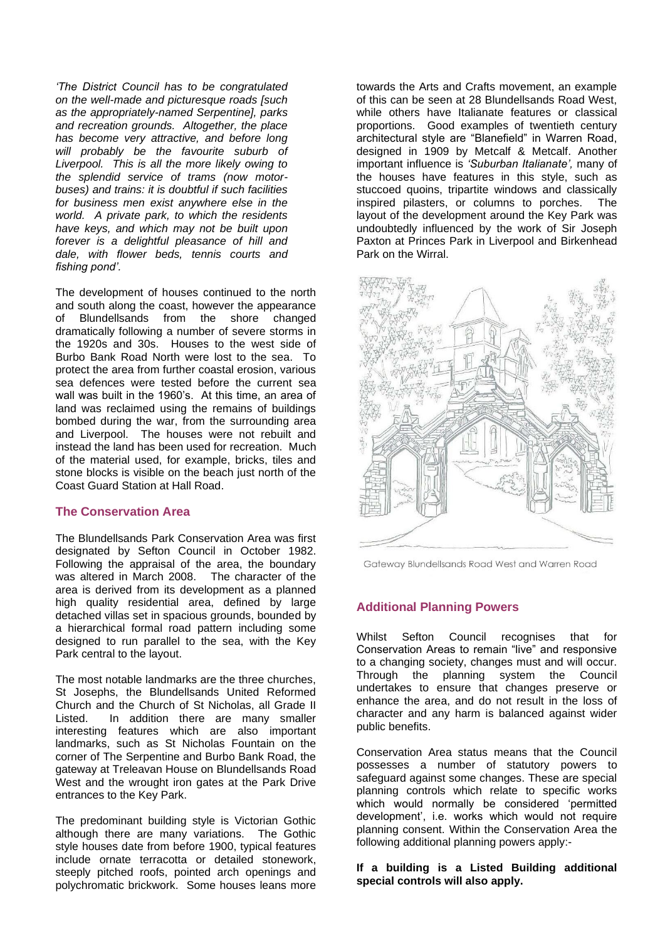*'The District Council has to be congratulated on the well-made and picturesque roads [such as the appropriately-named Serpentine], parks and recreation grounds. Altogether, the place has become very attractive, and before long will probably be the favourite suburb of Liverpool. This is all the more likely owing to the splendid service of trams (now motorbuses) and trains: it is doubtful if such facilities for business men exist anywhere else in the world. A private park, to which the residents have keys, and which may not be built upon forever is a delightful pleasance of hill and dale, with flower beds, tennis courts and fishing pond'.*

The development of houses continued to the north and south along the coast, however the appearance of Blundellsands from the shore changed dramatically following a number of severe storms in the 1920s and 30s. Houses to the west side of Burbo Bank Road North were lost to the sea. To protect the area from further coastal erosion, various sea defences were tested before the current sea wall was built in the 1960's. At this time, an area of land was reclaimed using the remains of buildings bombed during the war, from the surrounding area and Liverpool. The houses were not rebuilt and instead the land has been used for recreation. Much of the material used, for example, bricks, tiles and stone blocks is visible on the beach just north of the Coast Guard Station at Hall Road.

## **The Conservation Area**

The Blundellsands Park Conservation Area was first designated by Sefton Council in October 1982. Following the appraisal of the area, the boundary was altered in March 2008. The character of the area is derived from its development as a planned high quality residential area, defined by large detached villas set in spacious grounds, bounded by a hierarchical formal road pattern including some designed to run parallel to the sea, with the Key Park central to the layout.

The most notable landmarks are the three churches, St Josephs, the Blundellsands United Reformed Church and the Church of St Nicholas, all Grade II Listed. In addition there are many smaller interesting features which are also important landmarks, such as St Nicholas Fountain on the corner of The Serpentine and Burbo Bank Road, the gateway at Treleavan House on Blundellsands Road West and the wrought iron gates at the Park Drive entrances to the Key Park.

The predominant building style is Victorian Gothic although there are many variations. The Gothic style houses date from before 1900, typical features include ornate terracotta or detailed stonework, steeply pitched roofs, pointed arch openings and polychromatic brickwork. Some houses leans more towards the Arts and Crafts movement, an example of this can be seen at 28 Blundellsands Road West, while others have Italianate features or classical proportions. Good examples of twentieth century architectural style are "Blanefield" in Warren Road, designed in 1909 by Metcalf & Metcalf. Another important influence is *'Suburban Italianate',* many of the houses have features in this style, such as stuccoed quoins, tripartite windows and classically inspired pilasters, or columns to porches. The layout of the development around the Key Park was undoubtedly influenced by the work of Sir Joseph Paxton at Princes Park in Liverpool and Birkenhead Park on the Wirral.



Gateway Blundellsands Road West and Warren Road

## **Additional Planning Powers**

Whilst Sefton Council recognises that for Conservation Areas to remain "live" and responsive to a changing society, changes must and will occur. Through the planning system the Council undertakes to ensure that changes preserve or enhance the area, and do not result in the loss of character and any harm is balanced against wider public benefits.

Conservation Area status means that the Council possesses a number of statutory powers to safeguard against some changes. These are special planning controls which relate to specific works which would normally be considered 'permitted development', i.e. works which would not require planning consent. Within the Conservation Area the following additional planning powers apply:-

#### **If a building is a Listed Building additional special controls will also apply.**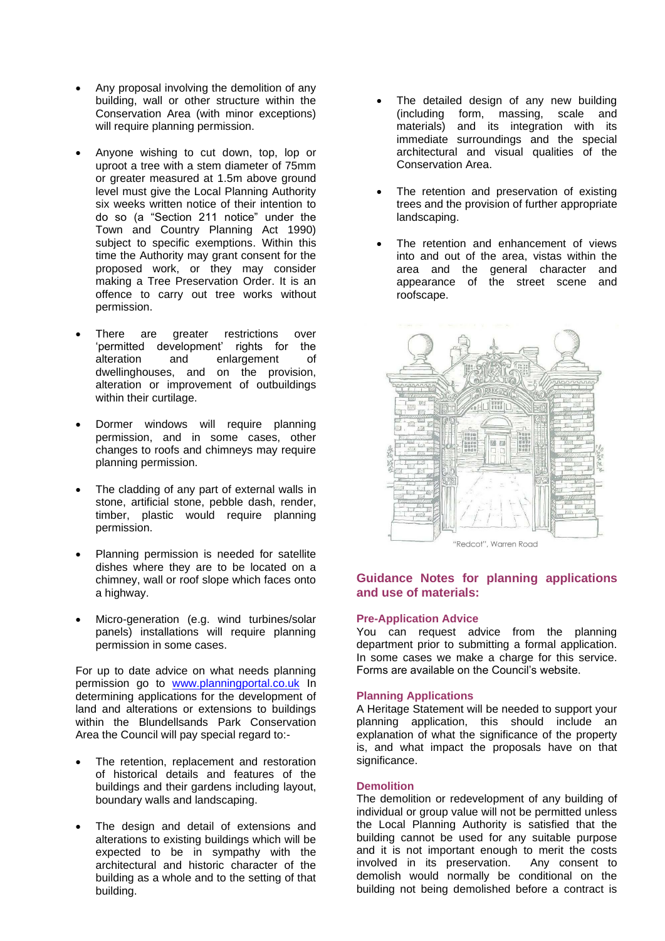- Any proposal involving the demolition of any building, wall or other structure within the Conservation Area (with minor exceptions) will require planning permission.
- Anyone wishing to cut down, top, lop or uproot a tree with a stem diameter of 75mm or greater measured at 1.5m above ground level must give the Local Planning Authority six weeks written notice of their intention to do so (a "Section 211 notice" under the Town and Country Planning Act 1990) subject to specific exemptions. Within this time the Authority may grant consent for the proposed work, or they may consider making a Tree Preservation Order. It is an offence to carry out tree works without permission.
- There are greater restrictions over 'permitted development' rights for the alteration and enlargement of dwellinghouses, and on the provision, alteration or improvement of outbuildings within their curtilage.
- Dormer windows will require planning permission, and in some cases, other changes to roofs and chimneys may require planning permission.
- The cladding of any part of external walls in stone, artificial stone, pebble dash, render, timber, plastic would require planning permission.
- Planning permission is needed for satellite dishes where they are to be located on a chimney, wall or roof slope which faces onto a highway.
- Micro-generation (e.g. wind turbines/solar panels) installations will require planning permission in some cases.

For up to date advice on what needs planning permission go to [www.planningportal.co.uk](http://www.planningportal.co.uk/) In determining applications for the development of land and alterations or extensions to buildings within the Blundellsands Park Conservation Area the Council will pay special regard to:-

- The retention, replacement and restoration of historical details and features of the buildings and their gardens including layout, boundary walls and landscaping.
- The design and detail of extensions and alterations to existing buildings which will be expected to be in sympathy with the architectural and historic character of the building as a whole and to the setting of that building.
- The detailed design of any new building (including form, massing, scale and materials) and its integration with its immediate surroundings and the special architectural and visual qualities of the Conservation Area.
- The retention and preservation of existing trees and the provision of further appropriate landscaping.
- The retention and enhancement of views into and out of the area, vistas within the area and the general character and appearance of the street scene and roofscape.



## **Guidance Notes for planning applications and use of materials:**

#### **Pre-Application Advice**

You can request advice from the planning department prior to submitting a formal application. In some cases we make a charge for this service. Forms are available on the Council's website.

#### **Planning Applications**

A Heritage Statement will be needed to support your planning application, this should include an explanation of what the significance of the property is, and what impact the proposals have on that significance.

#### **Demolition**

The demolition or redevelopment of any building of individual or group value will not be permitted unless the Local Planning Authority is satisfied that the building cannot be used for any suitable purpose and it is not important enough to merit the costs involved in its preservation. Any consent to demolish would normally be conditional on the building not being demolished before a contract is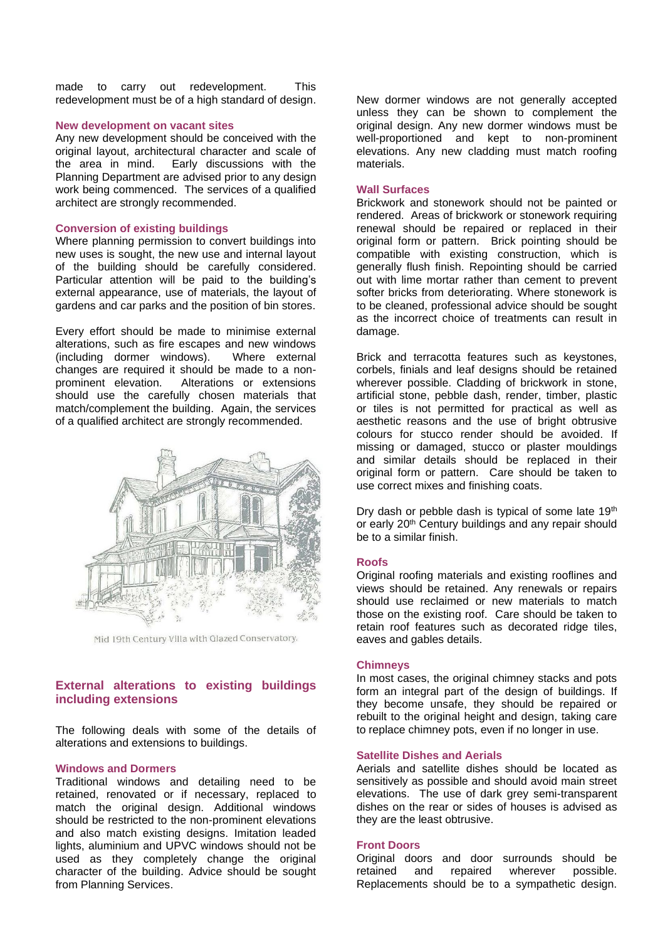made to carry out redevelopment. This redevelopment must be of a high standard of design.

#### **New development on vacant sites**

Any new development should be conceived with the original layout, architectural character and scale of the area in mind. Early discussions with the Planning Department are advised prior to any design work being commenced. The services of a qualified architect are strongly recommended.

#### **Conversion of existing buildings**

Where planning permission to convert buildings into new uses is sought, the new use and internal layout of the building should be carefully considered. Particular attention will be paid to the building's external appearance, use of materials, the layout of gardens and car parks and the position of bin stores.

Every effort should be made to minimise external alterations, such as fire escapes and new windows (including dormer windows). Where external changes are required it should be made to a nonprominent elevation. Alterations or extensions should use the carefully chosen materials that match/complement the building. Again, the services of a qualified architect are strongly recommended.



Mid 19th Century Villa with Glazed Conservatory.

## **External alterations to existing buildings including extensions**

The following deals with some of the details of alterations and extensions to buildings.

#### **Windows and Dormers**

Traditional windows and detailing need to be retained, renovated or if necessary, replaced to match the original design. Additional windows should be restricted to the non-prominent elevations and also match existing designs. Imitation leaded lights, aluminium and UPVC windows should not be used as they completely change the original character of the building. Advice should be sought from Planning Services.

New dormer windows are not generally accepted unless they can be shown to complement the original design. Any new dormer windows must be well-proportioned and kept to non-prominent elevations. Any new cladding must match roofing materials.

#### **Wall Surfaces**

Brickwork and stonework should not be painted or rendered. Areas of brickwork or stonework requiring renewal should be repaired or replaced in their original form or pattern. Brick pointing should be compatible with existing construction, which is generally flush finish. Repointing should be carried out with lime mortar rather than cement to prevent softer bricks from deteriorating. Where stonework is to be cleaned, professional advice should be sought as the incorrect choice of treatments can result in damage.

Brick and terracotta features such as keystones, corbels, finials and leaf designs should be retained wherever possible. Cladding of brickwork in stone, artificial stone, pebble dash, render, timber, plastic or tiles is not permitted for practical as well as aesthetic reasons and the use of bright obtrusive colours for stucco render should be avoided. If missing or damaged, stucco or plaster mouldings and similar details should be replaced in their original form or pattern. Care should be taken to use correct mixes and finishing coats.

Dry dash or pebble dash is typical of some late 19<sup>th</sup> or early 20<sup>th</sup> Century buildings and any repair should be to a similar finish.

#### **Roofs**

Original roofing materials and existing rooflines and views should be retained. Any renewals or repairs should use reclaimed or new materials to match those on the existing roof. Care should be taken to retain roof features such as decorated ridge tiles, eaves and gables details.

#### **Chimneys**

In most cases, the original chimney stacks and pots form an integral part of the design of buildings. If they become unsafe, they should be repaired or rebuilt to the original height and design, taking care to replace chimney pots, even if no longer in use.

#### **Satellite Dishes and Aerials**

Aerials and satellite dishes should be located as sensitively as possible and should avoid main street elevations. The use of dark grey semi-transparent dishes on the rear or sides of houses is advised as they are the least obtrusive.

#### **Front Doors**

Original doors and door surrounds should be retained and repaired wherever possible. Replacements should be to a sympathetic design.